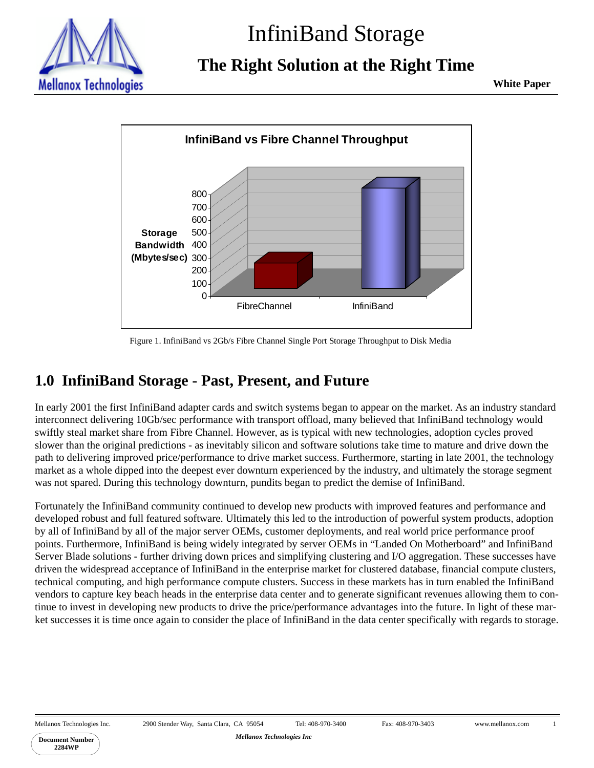

# InfiniBand Storage

**The Right Solution at the Right Time**

**White Paper**



Figure 1. InfiniBand vs 2Gb/s Fibre Channel Single Port Storage Throughput to Disk Media

# **1.0 InfiniBand Storage - Past, Present, and Future**

In early 2001 the first InfiniBand adapter cards and switch systems began to appear on the market. As an industry standard interconnect delivering 10Gb/sec performance with transport offload, many believed that InfiniBand technology would swiftly steal market share from Fibre Channel. However, as is typical with new technologies, adoption cycles proved slower than the original predictions - as inevitably silicon and software solutions take time to mature and drive down the path to delivering improved price/performance to drive market success. Furthermore, starting in late 2001, the technology market as a whole dipped into the deepest ever downturn experienced by the industry, and ultimately the storage segment was not spared. During this technology downturn, pundits began to predict the demise of InfiniBand.

Fortunately the InfiniBand community continued to develop new products with improved features and performance and developed robust and full featured software. Ultimately this led to the introduction of powerful system products, adoption by all of InfiniBand by all of the major server OEMs, customer deployments, and real world price performance proof points. Furthermore, InfiniBand is being widely integrated by server OEMs in "Landed On Motherboard" and InfiniBand Server Blade solutions - further driving down prices and simplifying clustering and I/O aggregation. These successes have driven the widespread acceptance of InfiniBand in the enterprise market for clustered database, financial compute clusters, technical computing, and high performance compute clusters. Success in these markets has in turn enabled the InfiniBand vendors to capture key beach heads in the enterprise data center and to generate significant revenues allowing them to continue to invest in developing new products to drive the price/performance advantages into the future. In light of these market successes it is time once again to consider the place of InfiniBand in the data center specifically with regards to storage.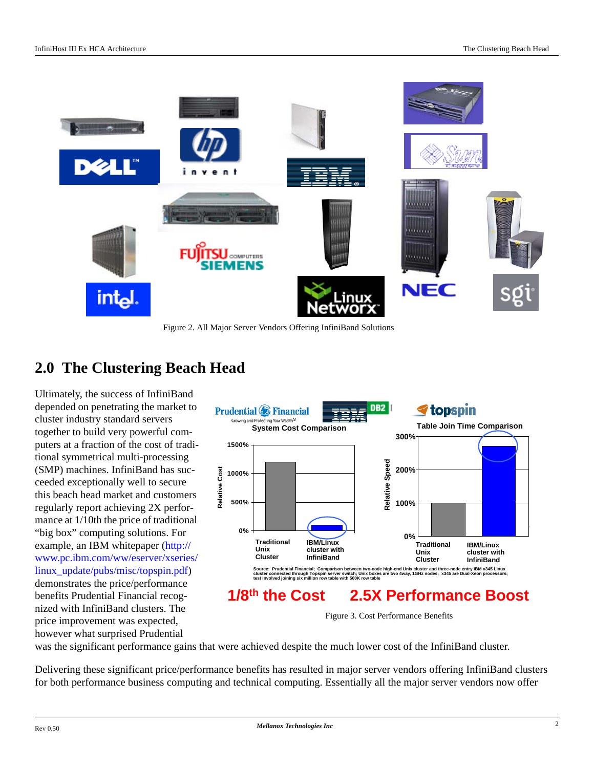

Figure 2. All Major Server Vendors Offering InfiniBand Solutions

# **2.0 The Clustering Beach Head**

Ultimately, the success of InfiniBand depended on penetrating the market to cluster industry standard servers together to build very powerful computers at a fraction of the cost of traditional symmetrical multi-processing (SMP) machines. InfiniBand has succeeded exceptionally well to secure this beach head market and customers regularly report achieving 2X performance at 1/10th the price of traditional "big box" computing solutions. For example, an IBM whitepaper ([http://](http://www.pc.ibm.com/ww/eserver/xseries/linux_update/pubs/misc/topspin.pdf) [www.pc.ibm.com/ww/eserver/xseries/](http://www.pc.ibm.com/ww/eserver/xseries/linux_update/pubs/misc/topspin.pdf) [linux\\_update/pubs/misc/topspin.pdf\)](http://www.pc.ibm.com/ww/eserver/xseries/linux_update/pubs/misc/topspin.pdf) demonstrates the price/performance benefits Prudential Financial recognized with InfiniBand clusters. The price improvement was expected, however what surprised Prudential



Figure 3. Cost Performance Benefits

was the significant performance gains that were achieved despite the much lower cost of the InfiniBand cluster.

Delivering these significant price/performance benefits has resulted in major server vendors offering InfiniBand clusters for both performance business computing and technical computing. Essentially all the major server vendors now offer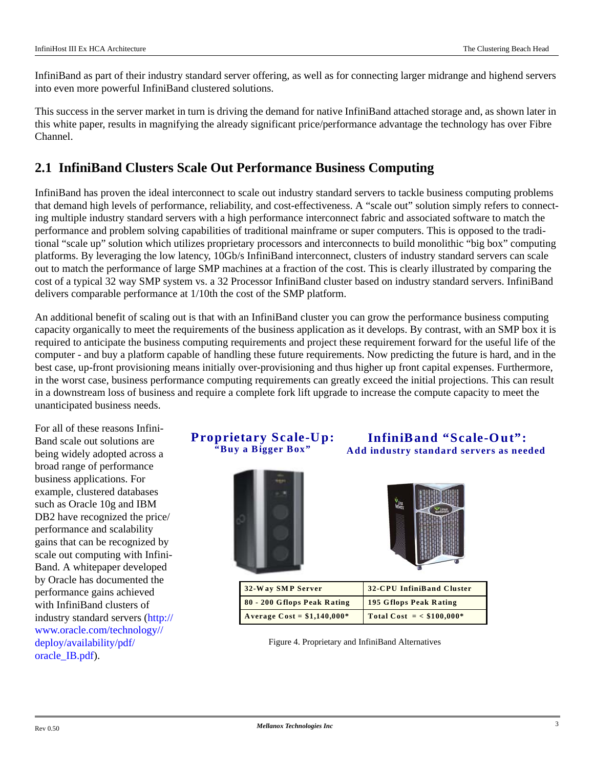InfiniBand as part of their industry standard server offering, as well as for connecting larger midrange and highend servers into even more powerful InfiniBand clustered solutions.

This success in the server market in turn is driving the demand for native InfiniBand attached storage and, as shown later in this white paper, results in magnifying the already significant price/performance advantage the technology has over Fibre Channel.

### <span id="page-2-0"></span>**2.1 InfiniBand Clusters Scale Out Performance Business Computing**

InfiniBand has proven the ideal interconnect to scale out industry standard servers to tackle business computing problems that demand high levels of performance, reliability, and cost-effectiveness. A "scale out" solution simply refers to connecting multiple industry standard servers with a high performance interconnect fabric and associated software to match the performance and problem solving capabilities of traditional mainframe or super computers. This is opposed to the traditional "scale up" solution which utilizes proprietary processors and interconnects to build monolithic "big box" computing platforms. By leveraging the low latency, 10Gb/s InfiniBand interconnect, clusters of industry standard servers can scale out to match the performance of large SMP machines at a fraction of the cost. This is clearly illustrated by comparing the cost of a typical 32 way SMP system vs. a 32 Processor InfiniBand cluster based on industry standard servers. InfiniBand delivers comparable performance at 1/10th the cost of the SMP platform.

An additional benefit of scaling out is that with an InfiniBand cluster you can grow the performance business computing capacity organically to meet the requirements of the business application as it develops. By contrast, with an SMP box it is required to anticipate the business computing requirements and project these requirement forward for the useful life of the computer - and buy a platform capable of handling these future requirements. Now predicting the future is hard, and in the best case, up-front provisioning means initially over-provisioning and thus higher up front capital expenses. Furthermore, in the worst case, business performance computing requirements can greatly exceed the initial projections. This can result in a downstream loss of business and require a complete fork lift upgrade to increase the compute capacity to meet the unanticipated business needs.

For all of these reasons Infini-Band scale out solutions are being widely adopted across a broad range of performance business applications. For example, clustered databases such as Oracle 10g and IBM DB2 have recognized the price/ performance and scalability gains that can be recognized by scale out computing with Infini-Band. A whitepaper developed by Oracle has documented the performance gains achieved with InfiniBand clusters of industry standard servers [\(http://](http://www.oracle.com/technology//deploy/availability/pdf/oracle_IB.pdf) [www.oracle.com/technology//](http://www.oracle.com/technology//deploy/availability/pdf/oracle_IB.pdf) deploy/availability/pdf/ [oracle\\_IB.pdf\)](http://www.oracle.com/technology//deploy/availability/pdf/oracle_IB.pdf).

#### **Proprietary Scale-Up: "Buy a Bigger Box"**



**InfiniBand "Scale-Out": Add industry standard servers as needed**

| 32-Way SMP Server            | 32-CPU InfiniBand Cluster     |
|------------------------------|-------------------------------|
| 80 - 200 Gflops Peak Rating  | <b>195 Gflops Peak Rating</b> |
| Average $Cost = $1,140,000*$ | Total Cost = $<$ \$100,000*   |

Figure 4. Proprietary and InfiniBand Alternatives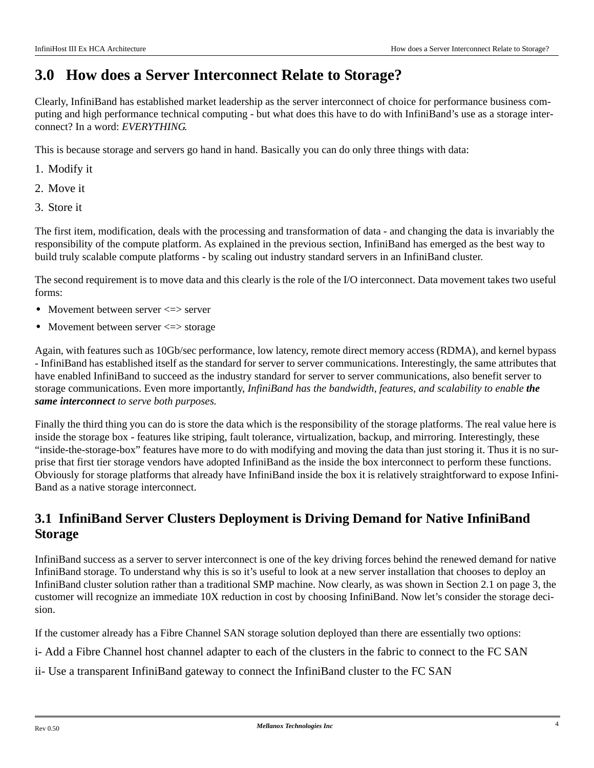## **3.0 How does a Server Interconnect Relate to Storage?**

Clearly, InfiniBand has established market leadership as the server interconnect of choice for performance business computing and high performance technical computing - but what does this have to do with InfiniBand's use as a storage interconnect? In a word: *EVERYTHING*.

This is because storage and servers go hand in hand. Basically you can do only three things with data:

- 1. Modify it
- 2. Move it
- 3. Store it

The first item, modification, deals with the processing and transformation of data - and changing the data is invariably the responsibility of the compute platform. As explained in the previous section, InfiniBand has emerged as the best way to build truly scalable compute platforms - by scaling out industry standard servers in an InfiniBand cluster.

The second requirement is to move data and this clearly is the role of the I/O interconnect. Data movement takes two useful forms:

- Movement between server  $\le$  > server
- Movement between server  $\le$  > storage

Again, with features such as 10Gb/sec performance, low latency, remote direct memory access (RDMA), and kernel bypass - InfiniBand has established itself as the standard for server to server communications. Interestingly, the same attributes that have enabled InfiniBand to succeed as the industry standard for server to server communications, also benefit server to storage communications. Even more importantly, *InfiniBand has the bandwidth, features, and scalability to enable the same interconnect to serve both purposes.*

Finally the third thing you can do is store the data which is the responsibility of the storage platforms. The real value here is inside the storage box - features like striping, fault tolerance, virtualization, backup, and mirroring. Interestingly, these "inside-the-storage-box" features have more to do with modifying and moving the data than just storing it. Thus it is no surprise that first tier storage vendors have adopted InfiniBand as the inside the box interconnect to perform these functions. Obviously for storage platforms that already have InfiniBand inside the box it is relatively straightforward to expose Infini-Band as a native storage interconnect.

### **3.1 InfiniBand Server Clusters Deployment is Driving Demand for Native InfiniBand Storage**

InfiniBand success as a server to server interconnect is one of the key driving forces behind the renewed demand for native InfiniBand storage. To understand why this is so it's useful to look at a new server installation that chooses to deploy an InfiniBand cluster solution rather than a traditional SMP machine. Now clearly, as was shown in [Section 2.1 on page 3,](#page-2-0) the customer will recognize an immediate 10X reduction in cost by choosing InfiniBand. Now let's consider the storage decision.

If the customer already has a Fibre Channel SAN storage solution deployed than there are essentially two options:

- i- Add a Fibre Channel host channel adapter to each of the clusters in the fabric to connect to the FC SAN
- ii- Use a transparent InfiniBand gateway to connect the InfiniBand cluster to the FC SAN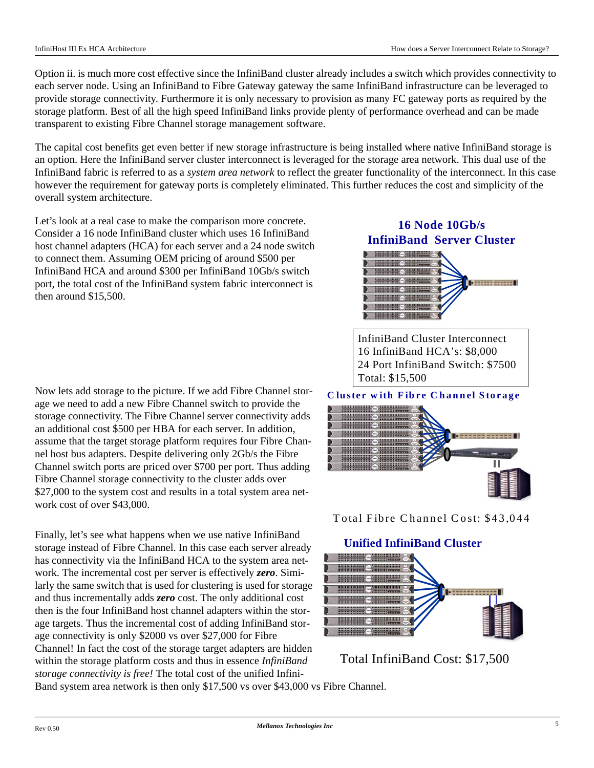Option ii. is much more cost effective since the InfiniBand cluster already includes a switch which provides connectivity to each server node. Using an InfiniBand to Fibre Gateway gateway the same InfiniBand infrastructure can be leveraged to provide storage connectivity. Furthermore it is only necessary to provision as many FC gateway ports as required by the storage platform. Best of all the high speed InfiniBand links provide plenty of performance overhead and can be made transparent to existing Fibre Channel storage management software.

The capital cost benefits get even better if new storage infrastructure is being installed where native InfiniBand storage is an option. Here the InfiniBand server cluster interconnect is leveraged for the storage area network. This dual use of the InfiniBand fabric is referred to as a *system area network* to reflect the greater functionality of the interconnect. In this case however the requirement for gateway ports is completely eliminated. This further reduces the cost and simplicity of the overall system architecture.

Let's look at a real case to make the comparison more concrete. Consider a 16 node InfiniBand cluster which uses 16 InfiniBand host channel adapters (HCA) for each server and a 24 node switch to connect them. Assuming OEM pricing of around \$500 per InfiniBand HCA and around \$300 per InfiniBand 10Gb/s switch port, the total cost of the InfiniBand system fabric interconnect is then around \$15,500.

Now lets add storage to the picture. If we add Fibre Channel storage we need to add a new Fibre Channel switch to provide the storage connectivity. The Fibre Channel server connectivity adds an additional cost \$500 per HBA for each server. In addition, assume that the target storage platform requires four Fibre Channel host bus adapters. Despite delivering only 2Gb/s the Fibre Channel switch ports are priced over \$700 per port. Thus adding Fibre Channel storage connectivity to the cluster adds over \$27,000 to the system cost and results in a total system area network cost of over \$43,000.

Finally, let's see what happens when we use native InfiniBand storage instead of Fibre Channel. In this case each server already has connectivity via the InfiniBand HCA to the system area network. The incremental cost per server is effectively *zero*. Similarly the same switch that is used for clustering is used for storage and thus incrementally adds *zero* cost. The only additional cost then is the four InfiniBand host channel adapters within the storage targets. Thus the incremental cost of adding InfiniBand storage connectivity is only \$2000 vs over \$27,000 for Fibre Channel! In fact the cost of the storage target adapters are hidden within the storage platform costs and thus in essence *InfiniBand storage connectivity is free!* The total cost of the unified Infini-

**16 Node 10Gb/s InfiniBand Server Cluster**



InfiniBand Cluster Interconnect 16 InfiniBand HCA's: \$8,000 24 Port InfiniBand Switch: \$7500 Total: \$15,500

#### **Cluster w ith Fibre Channel Storage**



Total Fibre Channel Cost: \$43,044

#### **Unified InfiniBand Cluster**



Total InfiniBand Cost: \$17,500

Band system area network is then only \$17,500 vs over \$43,000 vs Fibre Channel.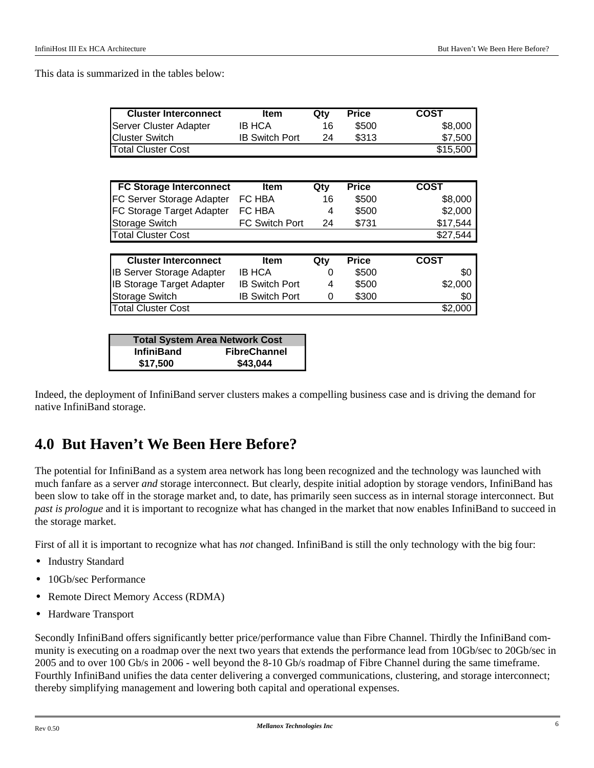This data is summarized in the tables below:

| <b>Cluster Interconnect</b>      | <b>Item</b>           | Qty | <b>Price</b> | <b>COST</b> |
|----------------------------------|-----------------------|-----|--------------|-------------|
| Server Cluster Adapter           | IB HCA                | 16  | \$500        | \$8,000     |
| <b>Cluster Switch</b>            | <b>IB Switch Port</b> | 24  | \$313        | \$7,500     |
| <b>Total Cluster Cost</b>        |                       |     |              | \$15,500    |
|                                  |                       |     |              |             |
| <b>FC Storage Interconnect</b>   | <b>Item</b>           | Qty | <b>Price</b> | <b>COST</b> |
| FC Server Storage Adapter        | FC HBA                | 16  | \$500        | \$8,000     |
| FC Storage Target Adapter        | FC HBA                | 4   | \$500        | \$2,000     |
| Storage Switch                   | <b>FC Switch Port</b> | 24  | \$731        | \$17,544    |
| <b>Total Cluster Cost</b>        |                       |     |              | \$27,544    |
|                                  |                       |     |              |             |
| <b>Cluster Interconnect</b>      | <b>Item</b>           | Qty | <b>Price</b> | <b>COST</b> |
| <b>IB Server Storage Adapter</b> | <b>IB HCA</b>         | 0   | \$500        | \$0         |
| <b>IB Storage Target Adapter</b> | <b>IB Switch Port</b> | 4   | \$500        | \$2,000     |
| Storage Switch                   | <b>IB Switch Port</b> | 0   | \$300        | \$0         |
| <b>Total Cluster Cost</b>        |                       |     |              | \$2,000     |
|                                  |                       |     |              |             |

|                   | <b>Total System Area Network Cost</b> |
|-------------------|---------------------------------------|
| <b>InfiniBand</b> | <b>FibreChannel</b>                   |
| \$17,500          | \$43,044                              |

Indeed, the deployment of InfiniBand server clusters makes a compelling business case and is driving the demand for native InfiniBand storage.

## **4.0 But Haven't We Been Here Before?**

The potential for InfiniBand as a system area network has long been recognized and the technology was launched with much fanfare as a server *and* storage interconnect. But clearly, despite initial adoption by storage vendors, InfiniBand has been slow to take off in the storage market and, to date, has primarily seen success as in internal storage interconnect. But *past is prologue* and it is important to recognize what has changed in the market that now enables InfiniBand to succeed in the storage market.

First of all it is important to recognize what has *not* changed. InfiniBand is still the only technology with the big four:

- **•** Industry Standard
- **•** 10Gb/sec Performance
- **•** Remote Direct Memory Access (RDMA)
- **•** Hardware Transport

Secondly InfiniBand offers significantly better price/performance value than Fibre Channel. Thirdly the InfiniBand community is executing on a roadmap over the next two years that extends the performance lead from 10Gb/sec to 20Gb/sec in 2005 and to over 100 Gb/s in 2006 - well beyond the 8-10 Gb/s roadmap of Fibre Channel during the same timeframe. Fourthly InfiniBand unifies the data center delivering a converged communications, clustering, and storage interconnect; thereby simplifying management and lowering both capital and operational expenses.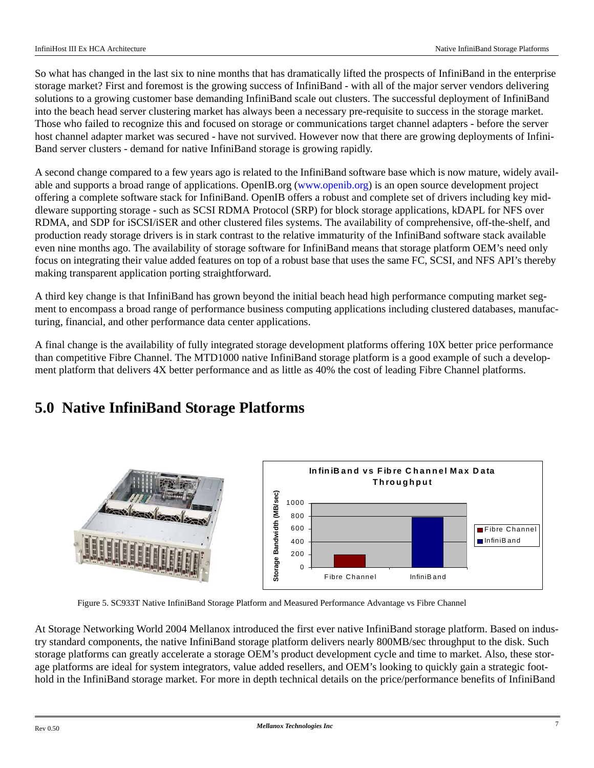So what has changed in the last six to nine months that has dramatically lifted the prospects of InfiniBand in the enterprise storage market? First and foremost is the growing success of InfiniBand - with all of the major server vendors delivering solutions to a growing customer base demanding InfiniBand scale out clusters. The successful deployment of InfiniBand into the beach head server clustering market has always been a necessary pre-requisite to success in the storage market. Those who failed to recognize this and focused on storage or communications target channel adapters - before the server host channel adapter market was secured - have not survived. However now that there are growing deployments of Infini-Band server clusters - demand for native InfiniBand storage is growing rapidly.

A second change compared to a few years ago is related to the InfiniBand software base which is now mature, widely available and supports a broad range of applications. OpenIB.org [\(www.openib.org\)](http://www.openib.org) is an open source development project offering a complete software stack for InfiniBand. OpenIB offers a robust and complete set of drivers including key middleware supporting storage - such as SCSI RDMA Protocol (SRP) for block storage applications, kDAPL for NFS over RDMA, and SDP for iSCSI/iSER and other clustered files systems. The availability of comprehensive, off-the-shelf, and production ready storage drivers is in stark contrast to the relative immaturity of the InfiniBand software stack available even nine months ago. The availability of storage software for InfiniBand means that storage platform OEM's need only focus on integrating their value added features on top of a robust base that uses the same FC, SCSI, and NFS API's thereby making transparent application porting straightforward.

A third key change is that InfiniBand has grown beyond the initial beach head high performance computing market segment to encompass a broad range of performance business computing applications including clustered databases, manufacturing, financial, and other performance data center applications.

A final change is the availability of fully integrated storage development platforms offering 10X better price performance than competitive Fibre Channel. The MTD1000 native InfiniBand storage platform is a good example of such a development platform that delivers 4X better performance and as little as 40% the cost of leading Fibre Channel platforms.

# **5.0 Native InfiniBand Storage Platforms**



Figure 5. SC933T Native InfiniBand Storage Platform and Measured Performance Advantage vs Fibre Channel

At Storage Networking World 2004 Mellanox introduced the first ever native InfiniBand storage platform. Based on industry standard components, the native InfiniBand storage platform delivers nearly 800MB/sec throughput to the disk. Such storage platforms can greatly accelerate a storage OEM's product development cycle and time to market. Also, these storage platforms are ideal for system integrators, value added resellers, and OEM's looking to quickly gain a strategic foothold in the InfiniBand storage market. For more in depth technical details on the price/performance benefits of InfiniBand